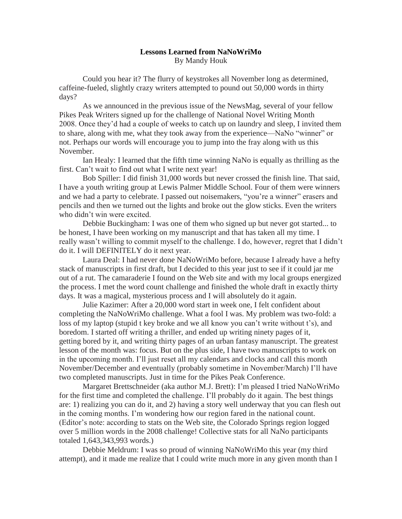## **Lessons Learned from NaNoWriMo** By Mandy Houk

Could you hear it? The flurry of keystrokes all November long as determined, caffeine-fueled, slightly crazy writers attempted to pound out 50,000 words in thirty days?

As we announced in the previous issue of the NewsMag, several of your fellow Pikes Peak Writers signed up for the challenge of National Novel Writing Month 2008. Once they'd had a couple of weeks to catch up on laundry and sleep, I invited them to share, along with me, what they took away from the experience—NaNo "winner" or not. Perhaps our words will encourage you to jump into the fray along with us this November.

Ian Healy: I learned that the fifth time winning NaNo is equally as thrilling as the first. Can't wait to find out what I write next year!

Bob Spiller: I did finish 31,000 words but never crossed the finish line. That said, I have a youth writing group at Lewis Palmer Middle School. Four of them were winners and we had a party to celebrate. I passed out noisemakers, "you're a winner" erasers and pencils and then we turned out the lights and broke out the glow sticks. Even the writers who didn't win were excited.

Debbie Buckingham: I was one of them who signed up but never got started... to be honest, I have been working on my manuscript and that has taken all my time. I really wasn't willing to commit myself to the challenge. I do, however, regret that I didn't do it. I will DEFINITELY do it next year.

Laura Deal: I had never done NaNoWriMo before, because I already have a hefty stack of manuscripts in first draft, but I decided to this year just to see if it could jar me out of a rut. The camaraderie I found on the Web site and with my local groups energized the process. I met the word count challenge and finished the whole draft in exactly thirty days. It was a magical, mysterious process and I will absolutely do it again.

Julie Kazimer: After a 20,000 word start in week one, I felt confident about completing the NaNoWriMo challenge. What a fool I was. My problem was two-fold: a loss of my laptop (stupid t key broke and we all know you can't write without t's), and boredom. I started off writing a thriller, and ended up writing ninety pages of it, getting bored by it, and writing thirty pages of an urban fantasy manuscript. The greatest lesson of the month was: focus. But on the plus side, I have two manuscripts to work on in the upcoming month. I'll just reset all my calendars and clocks and call this month November/December and eventually (probably sometime in November/March) I'll have two completed manuscripts. Just in time for the Pikes Peak Conference.

Margaret Brettschneider (aka author M.J. Brett): I'm pleased I tried NaNoWriMo for the first time and completed the challenge. I'll probably do it again. The best things are: 1) realizing you can do it, and 2) having a story well underway that you can flesh out in the coming months. I'm wondering how our region fared in the national count. (Editor's note: according to stats on the Web site, the Colorado Springs region logged over 5 million words in the 2008 challenge! Collective stats for all NaNo participants totaled 1,643,343,993 words.)

Debbie Meldrum: I was so proud of winning NaNoWriMo this year (my third attempt), and it made me realize that I could write much more in any given month than I